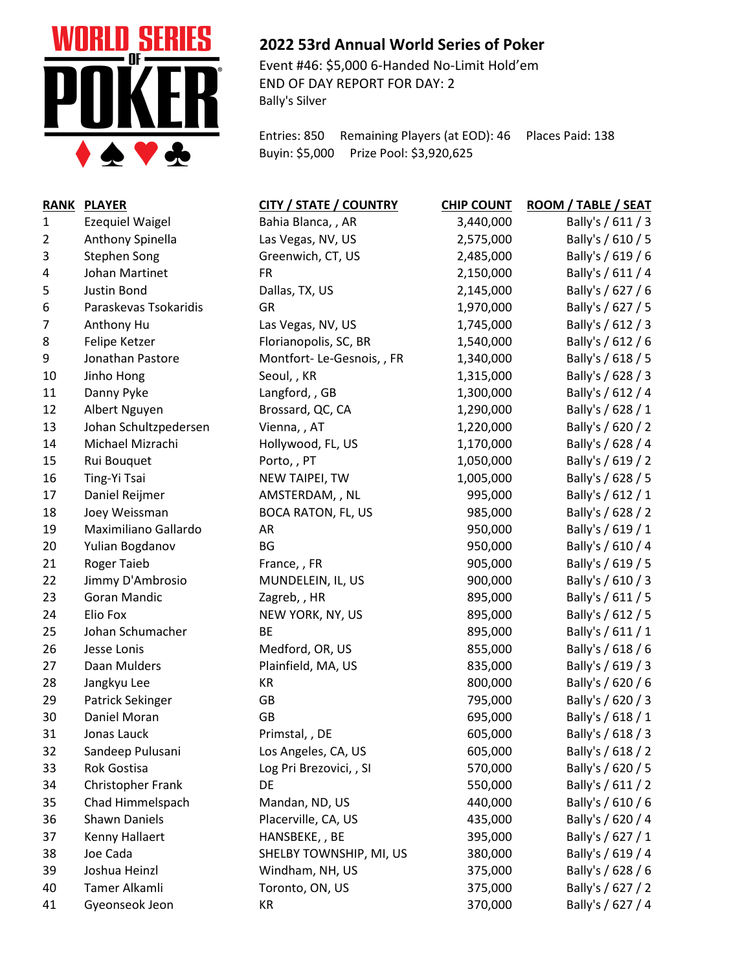

## **2022 53rd Annual World Series of Poker**

Event #46: \$5,000 6-Handed No-Limit Hold'em END OF DAY REPORT FOR DAY: 2 Bally's Silver

Entries: 850 Remaining Players (at EOD): 46 Places Paid: 138 Buyin: \$5,000 Prize Pool: \$3,920,625

| <b>RANK</b>    | <b>PLAYER</b>          | <b>CITY / STATE / COUNTRY</b> | <b>CHIP COUNT</b> | ROOM / TABLE / SEAT |
|----------------|------------------------|-------------------------------|-------------------|---------------------|
| $\mathbf{1}$   | <b>Ezequiel Waigel</b> | Bahia Blanca, , AR            | 3,440,000         | Bally's / 611 / 3   |
| $\overline{2}$ | Anthony Spinella       | Las Vegas, NV, US             | 2,575,000         | Bally's / 610 / 5   |
| 3              | <b>Stephen Song</b>    | Greenwich, CT, US             | 2,485,000         | Bally's / 619 / 6   |
| 4              | Johan Martinet         | <b>FR</b>                     | 2,150,000         | Bally's / 611 / 4   |
| 5              | <b>Justin Bond</b>     | Dallas, TX, US                | 2,145,000         | Bally's / 627 / 6   |
| 6              | Paraskevas Tsokaridis  | GR                            | 1,970,000         | Bally's / 627 / 5   |
| 7              | Anthony Hu             | Las Vegas, NV, US             | 1,745,000         | Bally's / 612 / 3   |
| 8              | Felipe Ketzer          | Florianopolis, SC, BR         | 1,540,000         | Bally's / 612 / 6   |
| 9              | Jonathan Pastore       | Montfort-Le-Gesnois, , FR     | 1,340,000         | Bally's / 618 / 5   |
| 10             | Jinho Hong             | Seoul,, KR                    | 1,315,000         | Bally's / 628 / 3   |
| 11             | Danny Pyke             | Langford, , GB                | 1,300,000         | Bally's / 612 / 4   |
| 12             | Albert Nguyen          | Brossard, QC, CA              | 1,290,000         | Bally's / 628 / 1   |
| 13             | Johan Schultzpedersen  | Vienna, , AT                  | 1,220,000         | Bally's / 620 / 2   |
| 14             | Michael Mizrachi       | Hollywood, FL, US             | 1,170,000         | Bally's / 628 / 4   |
| 15             | Rui Bouquet            | Porto,, PT                    | 1,050,000         | Bally's / 619 / 2   |
| 16             | Ting-Yi Tsai           | NEW TAIPEI, TW                | 1,005,000         | Bally's / 628 / 5   |
| 17             | Daniel Reijmer         | AMSTERDAM, , NL               | 995,000           | Bally's / 612 / 1   |
| 18             | Joey Weissman          | <b>BOCA RATON, FL, US</b>     | 985,000           | Bally's / 628 / 2   |
| 19             | Maximiliano Gallardo   | AR                            | 950,000           | Bally's / 619 / 1   |
| 20             | Yulian Bogdanov        | BG                            | 950,000           | Bally's / 610 / 4   |
| 21             | <b>Roger Taieb</b>     | France, , FR                  | 905,000           | Bally's / 619 / 5   |
| 22             | Jimmy D'Ambrosio       | MUNDELEIN, IL, US             | 900,000           | Bally's / 610 / 3   |
| 23             | Goran Mandic           | Zagreb,, HR                   | 895,000           | Bally's / 611 / 5   |
| 24             | Elio Fox               | NEW YORK, NY, US              | 895,000           | Bally's / 612 / 5   |
| 25             | Johan Schumacher       | <b>BE</b>                     | 895,000           | Bally's / 611 / 1   |
| 26             | Jesse Lonis            | Medford, OR, US               | 855,000           | Bally's / 618 / 6   |
| 27             | Daan Mulders           | Plainfield, MA, US            | 835,000           | Bally's / 619 / 3   |
| 28             | Jangkyu Lee            | KR                            | 800,000           | Bally's / 620 / 6   |
| 29             | Patrick Sekinger       | GB                            | 795,000           | Bally's / 620 / 3   |
| 30             | Daniel Moran           | <b>GB</b>                     | 695,000           | Bally's / 618 / 1   |
| 31             | Jonas Lauck            | Primstal, , DE                | 605,000           | Bally's / 618 / 3   |
| 32             | Sandeep Pulusani       | Los Angeles, CA, US           | 605,000           | Bally's / 618 / 2   |
| 33             | Rok Gostisa            | Log Pri Brezovici, , SI       | 570,000           | Bally's / 620 / 5   |
| 34             | Christopher Frank      | DE                            | 550,000           | Bally's / 611 / 2   |
| 35             | Chad Himmelspach       | Mandan, ND, US                | 440,000           | Bally's / 610 / 6   |
| 36             | Shawn Daniels          | Placerville, CA, US           | 435,000           | Bally's / 620 / 4   |
| 37             | Kenny Hallaert         | HANSBEKE, , BE                | 395,000           | Bally's / 627 / 1   |
| 38             | Joe Cada               | SHELBY TOWNSHIP, MI, US       | 380,000           | Bally's / 619 / 4   |
| 39             | Joshua Heinzl          | Windham, NH, US               | 375,000           | Bally's / 628 / 6   |
| 40             | Tamer Alkamli          | Toronto, ON, US               | 375,000           | Bally's / 627 / 2   |
| 41             | Gyeonseok Jeon         | KR                            | 370,000           | Bally's / 627 / 4   |